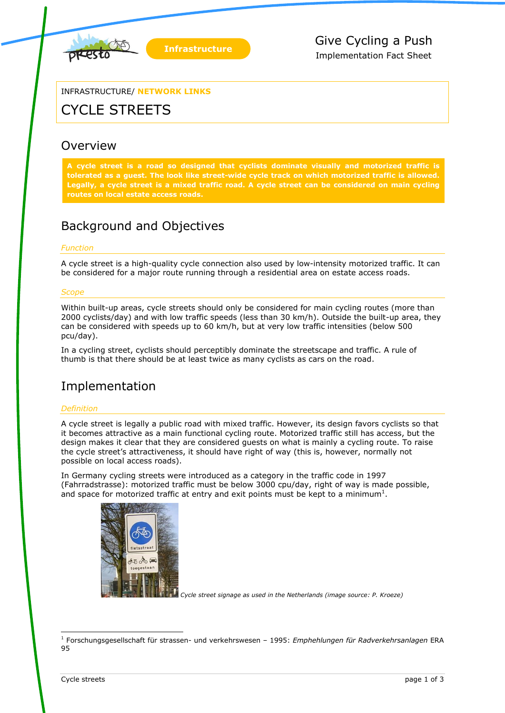

INFRASTRUCTURE/ **NETWORK LINKS**

# CYCLE STREETS

### **Overview**

**A cycle street is a road so designed that cyclists dominate visually and motorized traffic is tolerated as a guest. The look like street-wide cycle track on which motorized traffic is allowed. Legally, a cycle street is a mixed traffic road. A cycle street can be considered on main cycling** 

### Background and Objectives

#### *Function*

A cycle street is a high-quality cycle connection also used by low-intensity motorized traffic. It can be considered for a major route running through a residential area on estate access roads.

#### *Scope*

Within built-up areas, cycle streets should only be considered for main cycling routes (more than 2000 cyclists/day) and with low traffic speeds (less than 30 km/h). Outside the built-up area, they can be considered with speeds up to 60 km/h, but at very low traffic intensities (below 500 pcu/day).

In a cycling street, cyclists should perceptibly dominate the streetscape and traffic. A rule of thumb is that there should be at least twice as many cyclists as cars on the road.

### Implementation

#### *Definition*

A cycle street is legally a public road with mixed traffic. However, its design favors cyclists so that it becomes attractive as a main functional cycling route. Motorized traffic still has access, but the design makes it clear that they are considered guests on what is mainly a cycling route. To raise the cycle street's attractiveness, it should have right of way (this is, however, normally not possible on local access roads).

In Germany cycling streets were introduced as a category in the traffic code in 1997 (Fahrradstrasse): motorized traffic must be below 3000 cpu/day, right of way is made possible, and space for motorized traffic at entry and exit points must be kept to a minimum<sup>1</sup>.



*Cycle street signage as used in the Netherlands (image source: P. Kroeze)*

-

<sup>1</sup> Forschungsgesellschaft für strassen- und verkehrswesen – 1995: *Emphehlungen für Radverkehrsanlagen* ERA 95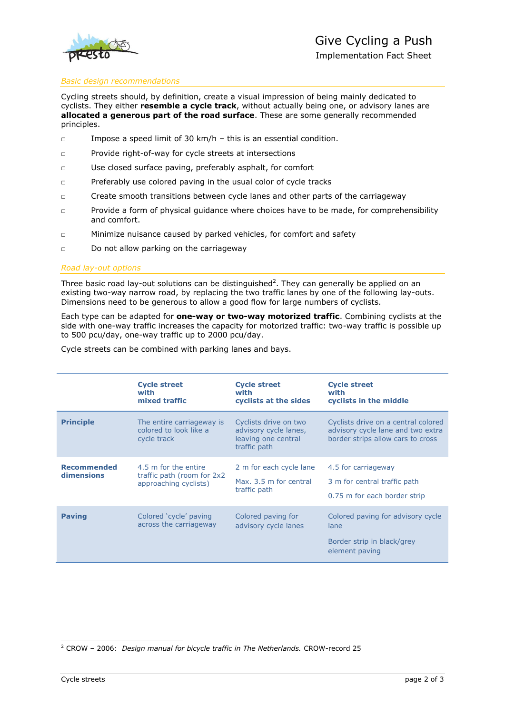

Implementation Fact Sheet

#### *Basic design recommendations*

Cycling streets should, by definition, create a visual impression of being mainly dedicated to cyclists. They either **resemble a cycle track**, without actually being one, or advisory lanes are **allocated a generous part of the road surface**. These are some generally recommended principles.

- □ Impose a speed limit of 30 km/h this is an essential condition.
- □ Provide right-of-way for cycle streets at intersections
- □ Use closed surface paving, preferably asphalt, for comfort
- □ Preferably use colored paving in the usual color of cycle tracks
- □ Create smooth transitions between cycle lanes and other parts of the carriageway
- □ Provide a form of physical guidance where choices have to be made, for comprehensibility and comfort.
- □ Minimize nuisance caused by parked vehicles, for comfort and safety
- □ Do not allow parking on the carriageway

#### *Road lay-out options*

Three basic road lay-out solutions can be distinguished<sup>2</sup>. They can generally be applied on an existing two-way narrow road, by replacing the two traffic lanes by one of the following lay-outs. Dimensions need to be generous to allow a good flow for large numbers of cyclists.

Each type can be adapted for **one-way or two-way motorized traffic**. Combining cyclists at the side with one-way traffic increases the capacity for motorized traffic: two-way traffic is possible up to 500 pcu/day, one-way traffic up to 2000 pcu/day.

Cycle streets can be combined with parking lanes and bays.

|                                  | <b>Cycle street</b><br>with<br>mixed traffic                                 | <b>Cycle street</b><br>with<br>cyclists at the sides                                  | <b>Cycle street</b><br>with<br>cyclists in the middle                                                         |
|----------------------------------|------------------------------------------------------------------------------|---------------------------------------------------------------------------------------|---------------------------------------------------------------------------------------------------------------|
| <b>Principle</b>                 | The entire carriageway is<br>colored to look like a<br>cycle track           | Cyclists drive on two<br>advisory cycle lanes,<br>leaving one central<br>traffic path | Cyclists drive on a central colored<br>advisory cycle lane and two extra<br>border strips allow cars to cross |
| <b>Recommended</b><br>dimensions | 4.5 m for the entire<br>traffic path (room for 2x2)<br>approaching cyclists) | 2 m for each cycle lane<br>Max, 3.5 m for central<br>traffic path                     | 4.5 for carriageway<br>3 m for central traffic path<br>0.75 m for each border strip                           |
| <b>Paving</b>                    | Colored 'cycle' paving<br>across the carriageway                             | Colored paving for<br>advisory cycle lanes                                            | Colored paving for advisory cycle<br>lane<br>Border strip in black/grey<br>element paving                     |

<sup>-</sup><sup>2</sup> CROW – 2006: *Design manual for bicycle traffic in The Netherlands.* CROW-record 25